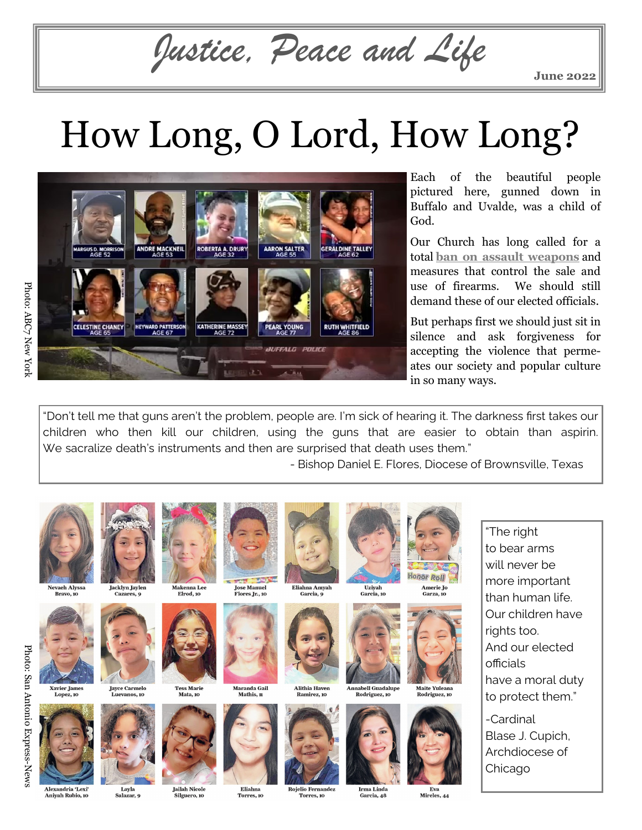*Justice, Peace and Life*

**June 2022**

## How Long, O Lord, How Long?



Each of the beautiful people pictured here, gunned down in Buffalo and Uvalde, was a child of God.

Our Church has long called for a total **[ban on assault weapons](https://www.usccb.org/issues-and-action/human-life-and-dignity/criminal-justice-restorative-justice/upload/Backgrounder-on-Gun-Violence-2020-01.pdf)** and measures that control the sale and use of firearms. We should still demand these of our elected officials.

But perhaps first we should just sit in silence and ask forgiveness for accepting the violence that permeates our society and popular culture in so many ways.

"Don't tell me that guns aren't the problem, people are. I'm sick of hearing it. The darkness first takes our children who then kill our children, using the guns that are easier to obtain than aspirin. We sacralize death's instruments and then are surprised that death uses them."

- Bishop Daniel E. Flores, Diocese of Brownsville, Texas







**Xavier James** 



**Tess Marie** 

Mata, 10

Makenna Lee

Elrod. 10



**Jailah Nicole** Silguero, 10

Eliahna Torres, 10



**Jose Manuel<br>Flores Jr., 10** 

Mathis, 11



nama mare<br>Ramirez, 10

Eliahna Amyah

Garcia, o





Irma Linda

Garcia, 48

**Uzivah** 



**Honor Roll** 

Amerie Jo

 $C$ 



"The right to bear arms will never be more important than human life. Our children have rights too. And our elected officials have a moral duty to protect them."

-Cardinal Blase J. Cupich, Archdiocese of Chicago

**Jayce Carmelo**<br>Lugaros 10

Salazar, q

Jacklyn Jaylen





**Rojelio Fernandez** Torres, 10

Mireles, 44